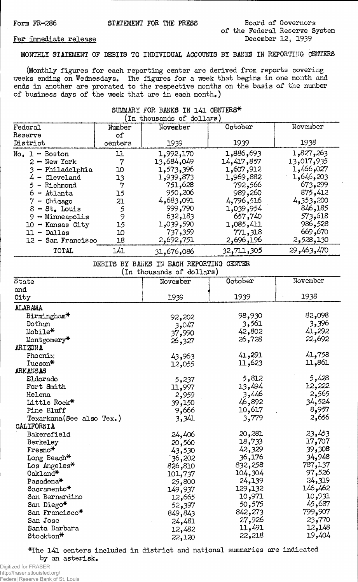# Form FR-286 STATEMENT FOR THE PRESS Board of Governors of the Federal Reserve System<br>December 12, 1939

### For immediate release

**MONTHLY STATEMENT OF DEBITS TO INDIVIDUAL ACCOUNTS BY BANKS IN REPORTING CENTERS**

**(Monthly figures for each reporting center are derived from reports covering weeks ending on Wednesdays. The figures for a week that begins in one month and ends in another are prorated to the respective months on the basis of the number of business days of the week that are in each month.)**

# **SUMMARY FOR BANKS IN 141 CENTERS\***<br>(In thousands of dollars)

| Federal<br>Reserve                                                                                                                                                                                            | Number<br>of                                               | November                                                                                                                           | October                                                                                                                              | November                                                                                                                         |
|---------------------------------------------------------------------------------------------------------------------------------------------------------------------------------------------------------------|------------------------------------------------------------|------------------------------------------------------------------------------------------------------------------------------------|--------------------------------------------------------------------------------------------------------------------------------------|----------------------------------------------------------------------------------------------------------------------------------|
| District                                                                                                                                                                                                      | centers                                                    | 1939                                                                                                                               | 1939                                                                                                                                 | 1938                                                                                                                             |
| $No. 1 - Boston$<br>$2 - New York$<br>$3 - Philadelphia$<br>$4$ - Cleveland<br>$5 -$ Richmond<br>$6 -$ Atlanta<br>$7$ - Chicago<br>$8 - St$ . Louis<br>$9 -$ Minneapolis<br>$10 -$ Kansas City<br>11 - Dallas | 11<br>7<br>10<br>13<br>7<br>15<br>21<br>5<br>9<br>15<br>10 | 1,992,170<br>13,684,049<br>1,573,396<br>1,939,873<br>751,628<br>950,206<br>4,683,091<br>999,790<br>632,183<br>1,039,590<br>737,359 | 1,886,693<br>14,417,857<br>1,607,912<br>1,969,882<br>792,566<br>989,260<br>4,796,516<br>1,039,954<br>657,740<br>1,085,411<br>771,318 | 1,827,263<br>13,017,935<br>1,466,027<br>1,646,203<br>673,299<br>875,412<br>4,353,200<br>846,185<br>573,618<br>986,528<br>669,670 |
| 12 - San Francisco                                                                                                                                                                                            | 18                                                         | 2,692,751                                                                                                                          | 2,696,196                                                                                                                            | 2,528,130                                                                                                                        |
| TOTAL                                                                                                                                                                                                         | 141                                                        | 31,676,086                                                                                                                         | 32,711,305                                                                                                                           | 29,463,470                                                                                                                       |

**DEBITS BY BANKS IN EACH REPORTING CENTER**

**(in thousands of dollars)**

| and<br>1938<br>1939<br>1939<br>City<br>ALABAMA<br>82,098<br>98,930<br>Birmingham*<br>92,202<br>3,561<br>3,396<br>Dothan<br>3,047<br>41,292<br>Mobile*<br>42,802<br>37,990<br>22,692<br>26,728<br>Montgomery*<br>26,327<br>ARIZONA<br>41,758<br>41,291<br>Phoenix<br>43,963<br>11,861<br>11,623<br>Tucson*<br>12,055<br>ARKANSAS<br>5,428<br>5,812<br>Eldorado<br>5,237<br>13,494<br>12,222<br>Fort Smith<br>11,997<br>2,565<br>3,446<br>Helena<br>2,959<br>34,524<br>46,892<br>Little Rock*<br>39,150<br>8,957<br>10,617<br>Pine Bluff<br>9,666<br>2,656<br>3,779<br>Texarkana(See also Tex.)<br>3,341<br>CALIFORNIA<br>23,453<br>20,281<br>Bakersfield<br>24,406<br>17,707<br>18,733<br>Berkeley<br>20,560<br>39,308<br>42,329<br>$F$ resno $*$<br>43,530<br>34,948<br>36,176<br>Long Beach*<br>36,202<br>787,137<br>832,258<br>Los Angeles*<br>826,810<br>97,526<br>104,304<br>Oakland*<br>101,737<br>24,319<br>24,139<br>Pasadena <sup>*</sup><br>25,800<br>146,462<br>129,132<br>Sacramento*<br>149,937<br>10,931<br>10,971<br>San Bernardino<br>12,665<br>45,687<br>50,575<br>San Diego*<br>52,397<br>799,907<br>842,273<br>San Francisco*<br>849,843<br>23,770<br>27,926<br>San Jose<br>24,481<br>11,491<br>12,148<br>Santa Barbara<br>12,482<br>19,404<br>22,218<br>Stockton*<br>22,120 | State | November | October | November |
|------------------------------------------------------------------------------------------------------------------------------------------------------------------------------------------------------------------------------------------------------------------------------------------------------------------------------------------------------------------------------------------------------------------------------------------------------------------------------------------------------------------------------------------------------------------------------------------------------------------------------------------------------------------------------------------------------------------------------------------------------------------------------------------------------------------------------------------------------------------------------------------------------------------------------------------------------------------------------------------------------------------------------------------------------------------------------------------------------------------------------------------------------------------------------------------------------------------------------------------------------------------------------------------------|-------|----------|---------|----------|
|                                                                                                                                                                                                                                                                                                                                                                                                                                                                                                                                                                                                                                                                                                                                                                                                                                                                                                                                                                                                                                                                                                                                                                                                                                                                                                |       |          |         |          |
|                                                                                                                                                                                                                                                                                                                                                                                                                                                                                                                                                                                                                                                                                                                                                                                                                                                                                                                                                                                                                                                                                                                                                                                                                                                                                                |       |          |         |          |
|                                                                                                                                                                                                                                                                                                                                                                                                                                                                                                                                                                                                                                                                                                                                                                                                                                                                                                                                                                                                                                                                                                                                                                                                                                                                                                |       |          |         |          |
|                                                                                                                                                                                                                                                                                                                                                                                                                                                                                                                                                                                                                                                                                                                                                                                                                                                                                                                                                                                                                                                                                                                                                                                                                                                                                                |       |          |         |          |
|                                                                                                                                                                                                                                                                                                                                                                                                                                                                                                                                                                                                                                                                                                                                                                                                                                                                                                                                                                                                                                                                                                                                                                                                                                                                                                |       |          |         |          |
|                                                                                                                                                                                                                                                                                                                                                                                                                                                                                                                                                                                                                                                                                                                                                                                                                                                                                                                                                                                                                                                                                                                                                                                                                                                                                                |       |          |         |          |
|                                                                                                                                                                                                                                                                                                                                                                                                                                                                                                                                                                                                                                                                                                                                                                                                                                                                                                                                                                                                                                                                                                                                                                                                                                                                                                |       |          |         |          |
|                                                                                                                                                                                                                                                                                                                                                                                                                                                                                                                                                                                                                                                                                                                                                                                                                                                                                                                                                                                                                                                                                                                                                                                                                                                                                                |       |          |         |          |
|                                                                                                                                                                                                                                                                                                                                                                                                                                                                                                                                                                                                                                                                                                                                                                                                                                                                                                                                                                                                                                                                                                                                                                                                                                                                                                |       |          |         |          |
|                                                                                                                                                                                                                                                                                                                                                                                                                                                                                                                                                                                                                                                                                                                                                                                                                                                                                                                                                                                                                                                                                                                                                                                                                                                                                                |       |          |         |          |
|                                                                                                                                                                                                                                                                                                                                                                                                                                                                                                                                                                                                                                                                                                                                                                                                                                                                                                                                                                                                                                                                                                                                                                                                                                                                                                |       |          |         |          |
|                                                                                                                                                                                                                                                                                                                                                                                                                                                                                                                                                                                                                                                                                                                                                                                                                                                                                                                                                                                                                                                                                                                                                                                                                                                                                                |       |          |         |          |
|                                                                                                                                                                                                                                                                                                                                                                                                                                                                                                                                                                                                                                                                                                                                                                                                                                                                                                                                                                                                                                                                                                                                                                                                                                                                                                |       |          |         |          |
|                                                                                                                                                                                                                                                                                                                                                                                                                                                                                                                                                                                                                                                                                                                                                                                                                                                                                                                                                                                                                                                                                                                                                                                                                                                                                                |       |          |         |          |
|                                                                                                                                                                                                                                                                                                                                                                                                                                                                                                                                                                                                                                                                                                                                                                                                                                                                                                                                                                                                                                                                                                                                                                                                                                                                                                |       |          |         |          |
|                                                                                                                                                                                                                                                                                                                                                                                                                                                                                                                                                                                                                                                                                                                                                                                                                                                                                                                                                                                                                                                                                                                                                                                                                                                                                                |       |          |         |          |
|                                                                                                                                                                                                                                                                                                                                                                                                                                                                                                                                                                                                                                                                                                                                                                                                                                                                                                                                                                                                                                                                                                                                                                                                                                                                                                |       |          |         |          |
|                                                                                                                                                                                                                                                                                                                                                                                                                                                                                                                                                                                                                                                                                                                                                                                                                                                                                                                                                                                                                                                                                                                                                                                                                                                                                                |       |          |         |          |
|                                                                                                                                                                                                                                                                                                                                                                                                                                                                                                                                                                                                                                                                                                                                                                                                                                                                                                                                                                                                                                                                                                                                                                                                                                                                                                |       |          |         |          |
|                                                                                                                                                                                                                                                                                                                                                                                                                                                                                                                                                                                                                                                                                                                                                                                                                                                                                                                                                                                                                                                                                                                                                                                                                                                                                                |       |          |         |          |
|                                                                                                                                                                                                                                                                                                                                                                                                                                                                                                                                                                                                                                                                                                                                                                                                                                                                                                                                                                                                                                                                                                                                                                                                                                                                                                |       |          |         |          |
|                                                                                                                                                                                                                                                                                                                                                                                                                                                                                                                                                                                                                                                                                                                                                                                                                                                                                                                                                                                                                                                                                                                                                                                                                                                                                                |       |          |         |          |
|                                                                                                                                                                                                                                                                                                                                                                                                                                                                                                                                                                                                                                                                                                                                                                                                                                                                                                                                                                                                                                                                                                                                                                                                                                                                                                |       |          |         |          |
|                                                                                                                                                                                                                                                                                                                                                                                                                                                                                                                                                                                                                                                                                                                                                                                                                                                                                                                                                                                                                                                                                                                                                                                                                                                                                                |       |          |         |          |
|                                                                                                                                                                                                                                                                                                                                                                                                                                                                                                                                                                                                                                                                                                                                                                                                                                                                                                                                                                                                                                                                                                                                                                                                                                                                                                |       |          |         |          |
|                                                                                                                                                                                                                                                                                                                                                                                                                                                                                                                                                                                                                                                                                                                                                                                                                                                                                                                                                                                                                                                                                                                                                                                                                                                                                                |       |          |         |          |
|                                                                                                                                                                                                                                                                                                                                                                                                                                                                                                                                                                                                                                                                                                                                                                                                                                                                                                                                                                                                                                                                                                                                                                                                                                                                                                |       |          |         |          |
|                                                                                                                                                                                                                                                                                                                                                                                                                                                                                                                                                                                                                                                                                                                                                                                                                                                                                                                                                                                                                                                                                                                                                                                                                                                                                                |       |          |         |          |
|                                                                                                                                                                                                                                                                                                                                                                                                                                                                                                                                                                                                                                                                                                                                                                                                                                                                                                                                                                                                                                                                                                                                                                                                                                                                                                |       |          |         |          |
|                                                                                                                                                                                                                                                                                                                                                                                                                                                                                                                                                                                                                                                                                                                                                                                                                                                                                                                                                                                                                                                                                                                                                                                                                                                                                                |       |          |         |          |
|                                                                                                                                                                                                                                                                                                                                                                                                                                                                                                                                                                                                                                                                                                                                                                                                                                                                                                                                                                                                                                                                                                                                                                                                                                                                                                |       |          |         |          |
|                                                                                                                                                                                                                                                                                                                                                                                                                                                                                                                                                                                                                                                                                                                                                                                                                                                                                                                                                                                                                                                                                                                                                                                                                                                                                                |       |          |         |          |
|                                                                                                                                                                                                                                                                                                                                                                                                                                                                                                                                                                                                                                                                                                                                                                                                                                                                                                                                                                                                                                                                                                                                                                                                                                                                                                |       |          |         |          |

**\*The l4l centers included in district and national summaries are indicated by an asterisk.**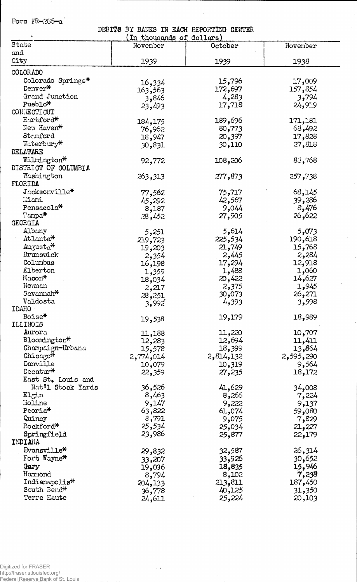Form FR-286-a

DEBTTS BY BANKS IN EACH REPORTING CENTER

| I DERAD IN DEOIL RELOCTEING OBBITER<br>In thousands of dollars) |           |           |           |  |  |
|-----------------------------------------------------------------|-----------|-----------|-----------|--|--|
| State                                                           | November  | October   | November  |  |  |
| and                                                             |           |           |           |  |  |
| City                                                            | 1939      | 1939      | 1938      |  |  |
|                                                                 |           |           |           |  |  |
| COLORADO                                                        |           |           |           |  |  |
| Colorado Springs*                                               | 16,334    | 15,796    | 17,009    |  |  |
| Denver*                                                         | 163,563   | 172,697   | 157,854   |  |  |
| Grand Junction                                                  | 3,846     | 4,283     | 3,794     |  |  |
| Pueblo*                                                         | 23,493    | 17,718    | 24,919    |  |  |
| CONNECTICUT                                                     |           |           |           |  |  |
| Hartford*                                                       | 184,175   | 189,696   | 171,181   |  |  |
| New Haven*                                                      | 76,962    | 80,773    | 68,492    |  |  |
| Stamford                                                        | 18,947    | 20,397    | 17,828    |  |  |
| Waterbury*                                                      | 30,831    | 30,110    | 27,818    |  |  |
| DELAWARE                                                        |           |           |           |  |  |
| Wilmington*                                                     | 92,772    | 108,206   | 88,768    |  |  |
| DISTRICT OF COLUMBIA                                            |           |           |           |  |  |
| Washington                                                      | 263,313   | 277,873   | 257,738   |  |  |
| FLORIDA                                                         |           |           |           |  |  |
| Jacksonville*                                                   | 77,562    | 75,717    | 68,145    |  |  |
| Miami                                                           |           | 42,567    | 39,286    |  |  |
| Pensacola*                                                      | 45,292    | 9,044     | 8,476     |  |  |
| Tampa*                                                          | 8,187     |           | 26,622    |  |  |
| <b>GEORGIA</b>                                                  | 28,452    | 27,905    |           |  |  |
| Albany                                                          |           | 5,614     |           |  |  |
| Atlanta*                                                        | 5,251     |           | 5,073     |  |  |
|                                                                 | 219,723   | 225,534   | 190,618   |  |  |
| $\text{August}_0^*$                                             | 19,203    | 21,749    | 15,768    |  |  |
| Brunswick                                                       | 2,354     | 2,445     | 2,284     |  |  |
| Columbus                                                        | 16,198    | 17,294    | 12,918    |  |  |
| Elberton                                                        | 1,359     | 1,488     | 1,060     |  |  |
| Macon*                                                          | 18,034    | 20,422    | 14,627    |  |  |
| Neyman                                                          | 2,217     | 2,375     | 1,945     |  |  |
| Savannah*                                                       | 28,251    | 30,073    | 26,271    |  |  |
| Valdosta                                                        | 3,992     | 4,393     | 3,598     |  |  |
| <b>IDAHO</b>                                                    |           |           |           |  |  |
| Boise*                                                          | 19,538    | 19,179    | 18,989    |  |  |
| ILLINOIS                                                        |           |           |           |  |  |
| Aurora                                                          | 11,188    | 11,220    | 10,707    |  |  |
| Bloomington*                                                    | 12,283    | 12,694    | 11,411    |  |  |
| Champaign-Urbana                                                | 15,578    | 18,399    | 13,864    |  |  |
| Chicago*                                                        | 2,774,014 | 2,814,132 | 2,595,290 |  |  |
| Danville                                                        | 10,079    | 10,319    | 9,564     |  |  |
| Decatur $*$                                                     | 22,359    | 27,235    | 18,172    |  |  |
| East St. Louis and                                              |           |           |           |  |  |
| Nat'l Stock Yards                                               | 36,526    | 41,629    | 34,008    |  |  |
| Elgin                                                           | 8,463     | 8,266     | 7,224     |  |  |
| Moline                                                          | 9,147     | 9,222     | 9,137     |  |  |
| Peoria <sup>*</sup>                                             | 63,822    | 61,074    | 680و59    |  |  |
| Quincy                                                          | 8,791     | 9,075     | 7,829     |  |  |
| Rockford*                                                       | 25,534    | 25,034    | 21,227    |  |  |
| Springfield                                                     | 23,986    | 25,877    | 22,179    |  |  |
| INDIANA                                                         |           |           |           |  |  |
| Evansville*                                                     | 29,832    | 32,587    | 26,314    |  |  |
| Fort Wayne*                                                     | 33,207    | 33,926    | 30,652    |  |  |
| Gary                                                            | 19,036    | 18,835    | 15,946    |  |  |
| Hammond                                                         | 8,794     | 8,102     | 7,238     |  |  |
| Indianapolis*                                                   | 204,133   | 213,811   | 187,450   |  |  |
| South Bend*                                                     | 36,778    | 40,125    | 31,350    |  |  |
| Terre Haute                                                     | 24,611    | 25,224    | 20,103    |  |  |
|                                                                 |           |           |           |  |  |

 $\sim 10^7$ 

 $\ddot{\phantom{0}}$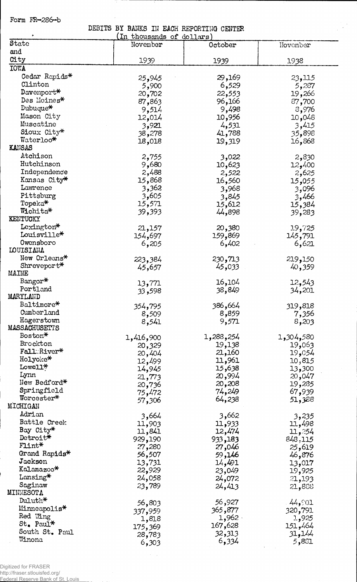Form FR-286-b

## DEBITS BY BANKS IN EACH REPORTING CENTER

| ۰                         | In thousands of dollars) |           |           |
|---------------------------|--------------------------|-----------|-----------|
| State                     | November                 | October   | November  |
| and                       |                          |           |           |
| City                      | 1939                     | 1939      | 1938      |
| <b>IOWA</b>               |                          |           |           |
| Cedar Rapids*             | 25,945                   | 29,169    | 23,115    |
| Clinton                   | 5,900                    | 6,529     | 5,287     |
| Davenport*                | 20,702                   | 22,553    | 19,266    |
| Des Moines*               | 87,863                   | 96,166    | 87,700    |
| Dubuque*                  | 9,514                    | 9,498     | 8,976     |
| Mason City                | 12,014                   | 10,956    | 10,048    |
| Muscatine                 | 3,921                    | 4,531     | 3,415     |
| Sioux City*               | 38,278                   | 41,788    | 35,898    |
| Waterloo*                 |                          | 19,319    | 16,868    |
| <b>KANSAS</b>             | 18,018                   |           |           |
| Atchison                  | 2,755                    | 3,022     | 2,830     |
| Hutchinson                | 9,680                    | 10,623    |           |
| Independence              | 2,488                    |           | 12,400    |
| Kansas City*              | 15,868                   | 2,522     | 2,625     |
| Lawrence                  | 3,362                    | 16,560    | 055, 15   |
| Pittsburg                 | 3,605                    | 3,968     | 3,096     |
| Topeka*                   |                          | 3,845     | 3,466     |
| Wichita*                  | 15,571                   | 15,612    | 15,384    |
| KENTUCKY                  | 39,393                   | 44,898    | 39,283    |
| Lexington*                |                          |           |           |
| Louisville*               | 21,157                   | 20,380    | 19,725    |
| Owensboro                 | 154,697                  | 159,869   | 145,791   |
| <b>LOUISIANA</b>          | 6,205                    | 6,402     | 6,621     |
| New Orleans*              |                          |           |           |
| $\text{Shreveport*}$      | 223,384                  | 230,713   | 219,150   |
| MAINE                     | 45,657                   | 45,033    | 40,359    |
| Bangor*                   |                          |           |           |
| Portland                  | 13,771                   | 16,104    | 12,543    |
| MARYLAND                  | 598, 33                  | 38,849    | 34,201    |
| Baltimore*                |                          |           |           |
| Cumberland                | 354,795                  | 386,664   | 319,818   |
| Hagerstown                | 8,509                    | 8,859     | 7,356     |
| MASSACHUSETTS             | 8,541                    | 9,571     | 8,203     |
| Boston*                   |                          |           |           |
| Brockton                  | 1,416,900                | 1,288,254 | 1,304,580 |
| Fall River*               | 20,329                   | 19,138    | 19,063    |
| Holyoke*                  | 20,404                   | 21,160    | 19,054    |
| Lowell*                   | 12,499                   | 11,961    | 10,815    |
| Lynn                      | 14,945                   | 15,638    | 13,300    |
| New Bedford*              | 21,773                   | 20,994    | 20,047    |
|                           | 20,736                   | 20,208    | 19,285    |
| Springfield<br>Worcester* | 75,472                   | 74,249    | 67,939    |
| MICHIGAN                  | 57,306                   | 64,238    | 51,388    |
| Adrian                    |                          |           |           |
|                           | 3,664                    | 3,662     | 3,235     |
| Battle Creek              | 11,903                   | 11,933    | 11,498    |
| Bay City*                 | 11,841                   | 12,474    | 11,254    |
| Detroit*                  | 929,190                  | 933,183   | 848,115   |
| $F1$ int $*$              | 27,280                   | 27,046    | 25,619    |
| Grand Rapids*             | 56,507                   | 59,146    | 46,876    |
| Jackson                   | 13,731                   | 14,491    | 13,017    |
| Kalamazoo*                | 22,929                   | 23,049    | 19,925    |
| Lansing*                  | 24,058                   | 24,072    | 21,193    |
| Saginaw                   | 23,789                   | 24,413    | 21,888    |
| MINNESOTA                 |                          |           |           |
| Duluth*                   | 56,803                   | 56,927    | 44,901    |
| Minneapolis*              | 337,959                  | 365,877   | 320,791   |
| Red Wing                  | 1,818                    | $1,962$ . | 1,925     |
| St. Paul*                 | 175,369                  | 167,628   | 151,464   |
| South St. Paul            | 28,783                   | 32,313    | 31,144    |
| Winona                    | 6,303                    | 6,334     | 5,881     |

 $\beta \sim 1$ 

Digitized for FRASER http://fraser.stlouisfed.org/ Federal Reserve Bank of St. Louis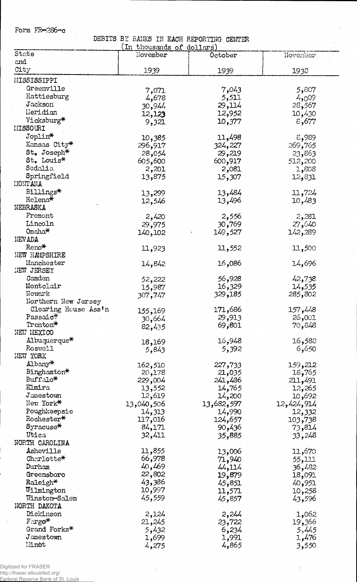Form FR—286-c

 $\mathcal{L}_{\mathcal{A}}$ 

**DEBITS BY BANKS IK EACH REPORTING CENTER**

J.

 $\bar{q}$ 

|                          | In thousands of dollars) |            |            |
|--------------------------|--------------------------|------------|------------|
| State                    | November                 | October    | November   |
| and                      |                          |            |            |
| City                     | 1939                     | 1939       | 1938       |
| MISSISSIPPI              |                          |            |            |
| Greenville               |                          |            |            |
| Hattiesburg              | 7,071                    | 7,043      | 5,807      |
| Jackson                  | 4,678                    | 5,511      | 4,009      |
|                          | 30,944                   | 29,114     | 28,567     |
| Lleridian                | 12,123                   | 12,952     | 10,430     |
| Vicksburg*               | 9,321                    | 10,377     | 8,677      |
| MISSOURI                 |                          |            |            |
| Joplin*                  | 10,385                   | 11,498     | 8,989      |
| Kansas City*             | 296,917                  | 324,227    | 269,765    |
| $St_{\bullet}$ Joseph*   | 28,054                   | 29,219     | 23,863     |
| St. Louis*               | 605,600                  | 600,917    | 512,200    |
| Sedalia                  | 2,201                    | 2,081      | 1,808      |
| Springfield              | 13,875                   | 15,307     | 12,831     |
| <b>LIONTANA</b>          |                          |            |            |
| Billings*                | 13,299                   | 13,484     | 11,724     |
| Helena*                  | 12,546                   | 13,496     | 10,483     |
| NEBRASKA                 |                          |            |            |
| Fremont                  | 2,420                    | 2,556      | 2,281      |
| Lincoln                  |                          |            | 27,640     |
| Omaha <sup>*</sup>       | 29,975                   | 30,769     |            |
| NEV ADA                  | 140,102                  | 149,527    | 142,289    |
| $Reno*$                  |                          |            |            |
|                          | 11,923                   | 11,552     | 11,500     |
| <b>NEW HAMPSHIRE</b>     |                          |            |            |
| Manchester               | 14,842                   | 16,086     | 14,696     |
| <b>NEW JERSEY</b>        |                          |            |            |
| Camden                   | 52,222                   | 56,928     | 42,738     |
| Montclair                | 15,987                   | 16,329     | 14,535     |
| Newark                   | 307,747                  | 329,185    | 285,802    |
| Northern New Jersey      |                          |            |            |
| Clearing House Ass'n     | 155,169                  | 171,686    | 157,448    |
| Passaic*                 | 30,664                   | 29,913     | 26,001     |
| Trenton*                 | 82,435                   | 69,801     | 70,848     |
| NEW NEXICO               |                          |            |            |
| $\Lambda$ lbuquerque $*$ | 18,169                   | 16,948     | 16,588     |
| Roswell                  | 5,843                    | 5,392      | 6,650      |
| NEW YORK                 |                          |            |            |
| Albany*                  | 162,510                  | 227,733    | 159,212    |
| Binghamton*              | 20,178                   | 21,035     | 18,765     |
| Buffalo*                 | 229,004                  | 241,486    | 211,491    |
| Elmira                   | 13,552                   | 14,765     | 12,265     |
| Jamestown                | 12,619                   | 14,200     | 592و10     |
| New York*                | 13,040,506               | 13,682,597 | 12,424,914 |
| Poughkeepsie             | 14,313                   | 14,990     | 12,332     |
| Rochester*               | 117,016                  | 124,657    | 103,738    |
| $Syracuse*$              | 84,171                   | 90,436     |            |
| Utica                    | 32,411                   |            | 73,814     |
| NORTH CAROLINA           |                          | 35,885     | 33,248     |
|                          |                          |            |            |
| Asheville                | 11,855                   | 13,006     | 11,670     |
| Charlotte*               | 66,978                   | 71,940     | 55,111     |
| Durham                   | 40,469                   | 44,114     | 36,482     |
| Greensboro               | 22,802                   | 19,879     | 18,091     |
| Raleigh*                 | 43,386                   | 45,851     | 40,951     |
| Wilmington               | 10,997                   | 11,571     | 10,258     |
| Winston-Salem            | 45,559                   | 45,857     | 43,596     |
| NORTH DAKOTA             |                          |            |            |
| Dickinson                | 2,124                    | 2,244      | 1,062      |
| $\texttt{Fargo*}$        | 21,245                   | 23,722     | 366و19     |
| Grand Forks*             | 5,432                    | 6,234      | 5,445      |
| Jamestown                | 1,699                    | 1,991      | 1,476      |
| Minot                    | 4,275                    | 4,865      | 3,550      |
|                          |                          |            |            |

 $\alpha$ 

Digitized for FRASER http://fraser.stlouisfed.org/ Federal Reserve Bank of St. Louis

 $\sim$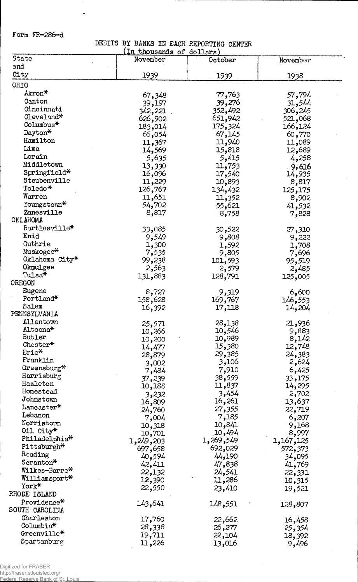Form FR-286-d

 $\ddot{\phantom{a}}$ 

DEBITS BY BANKS IN EACH REPORTING CENTER

|                             | (in thousands of dollars) |           |           |  |
|-----------------------------|---------------------------|-----------|-----------|--|
| State                       | November                  | October   | November  |  |
| and                         |                           |           |           |  |
| City                        | 1939                      | 1939      | 1938      |  |
| OHIO                        |                           |           |           |  |
| Akron*                      | 67,348                    | 77,763    | 57,794    |  |
| Canton                      | 39,197                    | 39,276    | 31,544    |  |
| Cincinnati                  | 342,221                   | 352,492   | 306,245   |  |
| Cleveland*                  | 626,902                   | 651,942   | 521,068   |  |
| Columbus <sup>*</sup>       | 183,014                   | 175,324   | 166,124   |  |
| Dayton*                     | 66,054                    | 67,145    | 60,770    |  |
| Hamilton                    | 11,367                    | 11,940    | 11,089    |  |
| Lima                        | 14,569                    | 15,818    | 12,689    |  |
| Lorain                      | 5,635                     | 5,415     | 4,258     |  |
| Middletown                  | 13,330                    | 11,753    | 9,616     |  |
| Springfield*                | 16,096                    | 17,540    | 14,935    |  |
| Steubenville                | 11,229                    | 10,893    | 8,817     |  |
| Toledo*                     | 126,767                   | 134,432   | 125,175   |  |
| Warren                      | 11,651                    | 11,352    | 8,902     |  |
| Youngstown*                 | 54,702                    | 55,621    | 41,532    |  |
| Zanesville                  | 8,817                     | 8,758     | 7,828     |  |
| OKLAHOMA                    |                           |           |           |  |
| Bartlesville*               | 33,085                    | 30,522    | 27,310    |  |
| Enid                        | 9,549                     | 9,808     | 9,222     |  |
| Guthrie                     | 1,300                     | 1,592     | 1,708     |  |
| Muskogee*<br>Oklahoma City* | 7,535                     | 9,805     | 7,696     |  |
| Okmulgee                    | 99,238                    | 101,593   | 95,519    |  |
| Tulsa*                      | 2,563                     | 2,579     | 2,485     |  |
| OREGON                      | 131,883                   | 128,791   | 125,005   |  |
| Eugene                      |                           |           |           |  |
| Portland*                   | 8,727<br>158,628          | 9,319     | 6,600     |  |
| Salem                       |                           | 169,767   | 146,553   |  |
| PENNSYLVANIA                | 16,392                    | 17,118    | 14,204    |  |
| Allentown                   | 25,571                    | 28,138    | 21,936    |  |
| Altoona*                    | 10,266                    | 10,546    | 9,883     |  |
| Butler                      | 10,200                    | 10,989    | 8,142     |  |
| $\mathtt{Chester}^\ast$     | 14,477                    | 15,380    | 12,748    |  |
| Erie*                       | 28,879                    | 29,385    | 24,383    |  |
| Franklin                    | 3,002                     | 3,106     | 2,624     |  |
| Greensburg*                 | 7,484                     | 7,910     | 6,425     |  |
| Harrisburg                  | 37,239                    | 38,559    | 33,175    |  |
| Hazleton                    | 10,188                    | 11,837    | 14,295    |  |
| Homestead                   | 3,232                     | 3,454     | 2,702     |  |
| Johnstown                   | 16,809                    | 16,261    | 13,637    |  |
| Lancaster*                  | 24,760                    | 27,355    | 22,719    |  |
| Lebanon                     | 7,004                     | 7,185     | 6,207     |  |
| Norristown                  | 10,318                    | 10,841    | 9,168     |  |
| Oil City*                   | 10,701                    | 10,494    | 8,997     |  |
| Philadelphia <sup>*</sup>   | 1,249,203                 | 1,269,549 | 1,167,125 |  |
| Pittsburgh*                 | 697,658                   | 692,029   | 572,373   |  |
| Reading<br>Scranton*        | 40,594                    | 44,190    | 34,095    |  |
| Wilkes-Barre*               | 42,411                    | 47,838    | 41,769    |  |
|                             | 22,132                    | 24,541    | 22,331    |  |
| Williamsport*<br>York*      | 12,390                    | 11,286    | 10,315    |  |
| RHODE ISLAND                | 22,550                    | 23,410    | 19,521    |  |
| Providence*                 |                           |           |           |  |
| SOUTH CAROLINA              | 143,641                   | 148,551   | 128,807   |  |
| Charleston                  |                           |           |           |  |
| $\texttt{Columnia*}$        | 17,760                    | 22,662    | 16,458    |  |
| Greenville*                 | 28,338                    | 26,277    | 25,354    |  |
| Spartanhurg                 | 19,711                    | 22,104    | 18,392    |  |
|                             | 11,226                    | 13,016    | 9,496     |  |

Digitized for FRASER http://fraser.stlouisfed.org/

Federal Reserve Bank of St. Louis